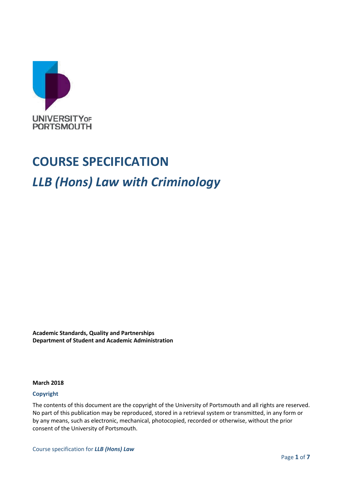

# **COURSE SPECIFICATION**

# *LLB (Hons) Law with Criminology*

**Academic Standards, Quality and Partnerships Department of Student and Academic Administration**

#### **March 2018**

#### **Copyright**

The contents of this document are the copyright of the University of Portsmouth and all rights are reserved. No part of this publication may be reproduced, stored in a retrieval system or transmitted, in any form or by any means, such as electronic, mechanical, photocopied, recorded or otherwise, without the prior consent of the University of Portsmouth.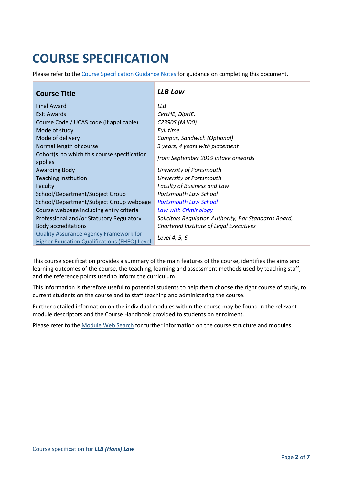# **COURSE SPECIFICATION**

Please refer to the [Course Specification Guidance Notes](http://www.port.ac.uk/departments/services/academicregistry/qmd/curriculum-framework-2019-20/filetodownload,201767,en.docx) for guidance on completing this document.

| <b>Course Title</b>                                     | <b>LLB Law</b>                                        |  |
|---------------------------------------------------------|-------------------------------------------------------|--|
| <b>Final Award</b>                                      | <b>LLB</b>                                            |  |
| <b>Exit Awards</b>                                      | CertHE, DipHE.                                        |  |
| Course Code / UCAS code (if applicable)                 | C2390S (M100)                                         |  |
| Mode of study                                           | <b>Full time</b>                                      |  |
| Mode of delivery                                        | Campus, Sandwich (Optional)                           |  |
| Normal length of course                                 | 3 years, 4 years with placement                       |  |
| Cohort(s) to which this course specification<br>applies | from September 2019 intake onwards                    |  |
| <b>Awarding Body</b>                                    | University of Portsmouth                              |  |
| <b>Teaching Institution</b>                             | University of Portsmouth                              |  |
| Faculty                                                 | Faculty of Business and Law                           |  |
| School/Department/Subject Group                         | Portsmouth Law School                                 |  |
| School/Department/Subject Group webpage                 | <b>Portsmouth Law School</b>                          |  |
| Course webpage including entry criteria                 | Law with Criminology                                  |  |
| Professional and/or Statutory Regulatory                | Solicitors Regulation Authority, Bar Standards Board, |  |
| <b>Body accreditations</b>                              | Chartered Institute of Legal Executives               |  |
| <b>Quality Assurance Agency Framework for</b>           |                                                       |  |
| Higher Education Qualifications (FHEQ) Level            | Level 4, 5, 6                                         |  |

This course specification provides a summary of the main features of the course, identifies the aims and learning outcomes of the course, the teaching, learning and assessment methods used by teaching staff, and the reference points used to inform the curriculum.

This information is therefore useful to potential students to help them choose the right course of study, to current students on the course and to staff teaching and administering the course.

Further detailed information on the individual modules within the course may be found in the relevant module descriptors and the Course Handbook provided to students on enrolment.

Please refer to the [Module Web Search](https://register.port.ac.uk/ords/f?p=111:1:0:::::) for further information on the course structure and modules.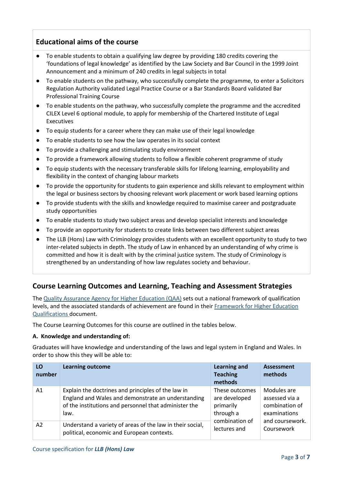## **Educational aims of the course**

- To enable students to obtain a qualifying law degree by providing 180 credits covering the 'foundations of legal knowledge' as identified by the Law Society and Bar Council in the 1999 Joint Announcement and a minimum of 240 credits in legal subjects in total
- To enable students on the pathway, who successfully complete the programme, to enter a Solicitors Regulation Authority validated Legal Practice Course or a Bar Standards Board validated Bar Professional Training Course
- To enable students on the pathway, who successfully complete the programme and the accredited CILEX Level 6 optional module, to apply for membership of the Chartered Institute of Legal Executives
- To equip students for a career where they can make use of their legal knowledge
- To enable students to see how the law operates in its social context
- To provide a challenging and stimulating study environment
- To provide a framework allowing students to follow a flexible coherent programme of study
- To equip students with the necessary transferable skills for lifelong learning, employability and flexibility in the context of changing labour markets
- To provide the opportunity for students to gain experience and skills relevant to employment within the legal or business sectors by choosing relevant work placement or work based learning options
- To provide students with the skills and knowledge required to maximise career and postgraduate study opportunities
- To enable students to study two subject areas and develop specialist interests and knowledge
- To provide an opportunity for students to create links between two different subject areas
- The LLB (Hons) Law with Criminology provides students with an excellent opportunity to study to two inter-related subjects in depth. The study of Law in enhanced by an understanding of why crime is committed and how it is dealt with by the criminal justice system. The study of Criminology is strengthened by an understanding of how law regulates society and behaviour.

## **Course Learning Outcomes and Learning, Teaching and Assessment Strategies**

The [Quality Assurance Agency for Higher Education \(QAA\)](http://www.qaa.ac.uk/en) sets out a national framework of qualification levels, and the associated standards of achievement are found in their [Framework for Higher Education](http://www.qaa.ac.uk/en/Publications/Documents/qualifications-frameworks.pdf)  [Qualifications](http://www.qaa.ac.uk/en/Publications/Documents/qualifications-frameworks.pdf) document.

The Course Learning Outcomes for this course are outlined in the tables below.

#### **A. Knowledge and understanding of:**

Graduates will have knowledge and understanding of the laws and legal system in England and Wales. In order to show this they will be able to:

| LO<br>number | <b>Learning outcome</b>                                   | <b>Learning and</b><br><b>Teaching</b><br>methods | <b>Assessment</b><br>methods |
|--------------|-----------------------------------------------------------|---------------------------------------------------|------------------------------|
| A1           | Explain the doctrines and principles of the law in        | These outcomes                                    | Modules are                  |
|              | England and Wales and demonstrate an understanding        | are developed                                     | assessed via a               |
|              | of the institutions and personnel that administer the     | primarily                                         | combination of               |
|              | law.                                                      | through a                                         | examinations                 |
| A2           | Understand a variety of areas of the law in their social, | combination of                                    | and coursework.              |
|              | political, economic and European contexts.                | lectures and                                      | Coursework                   |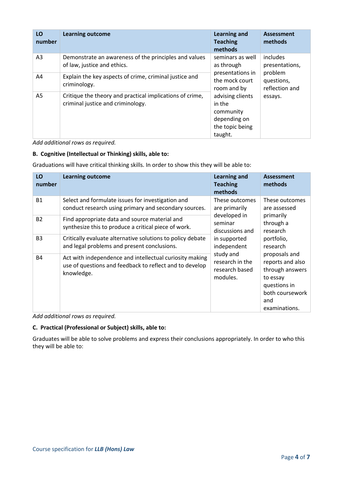| LO<br>number   | <b>Learning outcome</b>                                                                       | <b>Learning and</b><br><b>Teaching</b><br>methods                                                                                          | <b>Assessment</b><br>methods            |
|----------------|-----------------------------------------------------------------------------------------------|--------------------------------------------------------------------------------------------------------------------------------------------|-----------------------------------------|
| A <sub>3</sub> | Demonstrate an awareness of the principles and values<br>of law, justice and ethics.          | seminars as well<br>as through                                                                                                             | includes<br>presentations,              |
| A4             | Explain the key aspects of crime, criminal justice and<br>criminology.                        | presentations in<br>the mock court<br>room and by<br>advising clients<br>in the<br>community<br>depending on<br>the topic being<br>taught. | problem<br>questions,<br>reflection and |
| A5             | Critique the theory and practical implications of crime,<br>criminal justice and criminology. |                                                                                                                                            | essays.                                 |

*Add additional rows as required.*

#### **B. Cognitive (Intellectual or Thinking) skills, able to:**

Graduations will have critical thinking skills. In order to show this they will be able to:

| LO<br>number   | <b>Learning outcome</b>                                                                                                          | Learning and<br><b>Teaching</b><br>methods                                                                                                                                 | <b>Assessment</b><br>methods                                                                                                                                                                                                  |
|----------------|----------------------------------------------------------------------------------------------------------------------------------|----------------------------------------------------------------------------------------------------------------------------------------------------------------------------|-------------------------------------------------------------------------------------------------------------------------------------------------------------------------------------------------------------------------------|
| <b>B1</b>      | Select and formulate issues for investigation and<br>conduct research using primary and secondary sources.                       | These outcomes<br>are primarily<br>developed in<br>seminar<br>discussions and<br>in supported<br>independent<br>study and<br>research in the<br>research based<br>modules. | These outcomes<br>are assessed<br>primarily<br>through a<br>research<br>portfolio,<br>research<br>proposals and<br>reports and also<br>through answers<br>to essay<br>questions in<br>both coursework<br>and<br>examinations. |
| <b>B2</b>      | Find appropriate data and source material and<br>synthesize this to produce a critical piece of work.                            |                                                                                                                                                                            |                                                                                                                                                                                                                               |
| B <sub>3</sub> | Critically evaluate alternative solutions to policy debate<br>and legal problems and present conclusions.                        |                                                                                                                                                                            |                                                                                                                                                                                                                               |
| <b>B4</b>      | Act with independence and intellectual curiosity making<br>use of questions and feedback to reflect and to develop<br>knowledge. |                                                                                                                                                                            |                                                                                                                                                                                                                               |

*Add additional rows as required.*

#### **C. Practical (Professional or Subject) skills, able to:**

Graduates will be able to solve problems and express their conclusions appropriately. In order to who this they will be able to: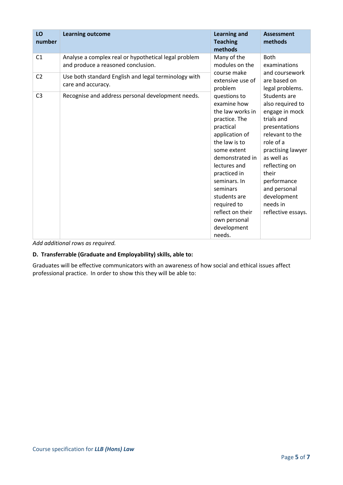| LO<br>number   | <b>Learning outcome</b>                                                                    | <b>Learning and</b><br><b>Teaching</b><br>methods                                                                                                                                                                                                                                                          | <b>Assessment</b><br>methods                                                                                                                                                                                                                                   |
|----------------|--------------------------------------------------------------------------------------------|------------------------------------------------------------------------------------------------------------------------------------------------------------------------------------------------------------------------------------------------------------------------------------------------------------|----------------------------------------------------------------------------------------------------------------------------------------------------------------------------------------------------------------------------------------------------------------|
| C <sub>1</sub> | Analyse a complex real or hypothetical legal problem<br>and produce a reasoned conclusion. | Many of the<br>modules on the                                                                                                                                                                                                                                                                              | <b>Both</b><br>examinations                                                                                                                                                                                                                                    |
| C <sub>2</sub> | Use both standard English and legal terminology with<br>care and accuracy.                 | course make<br>extensive use of<br>problem                                                                                                                                                                                                                                                                 | and coursework<br>are based on<br>legal problems.                                                                                                                                                                                                              |
| C <sub>3</sub> | Recognise and address personal development needs.                                          | questions to<br>examine how<br>the law works in<br>practice. The<br>practical<br>application of<br>the law is to<br>some extent<br>demonstrated in<br>lectures and<br>practiced in<br>seminars. In<br>seminars<br>students are<br>required to<br>reflect on their<br>own personal<br>development<br>needs. | Students are<br>also required to<br>engage in mock<br>trials and<br>presentations<br>relevant to the<br>role of a<br>practising lawyer<br>as well as<br>reflecting on<br>their<br>performance<br>and personal<br>development<br>needs in<br>reflective essays. |

*Add additional rows as required.*

#### **D. Transferrable (Graduate and Employability) skills, able to:**

Graduates will be effective communicators with an awareness of how social and ethical issues affect professional practice. In order to show this they will be able to: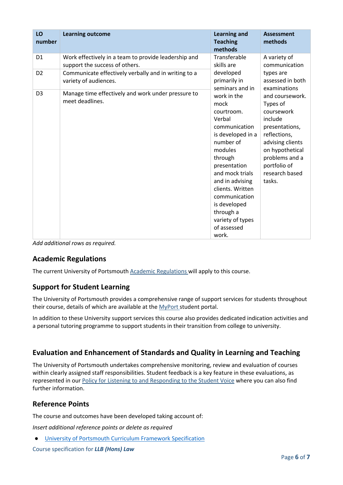| LO<br>number   | <b>Learning outcome</b>                                                                | <b>Learning and</b><br><b>Teaching</b><br>methods                                                                                                                                                                                                                                        | <b>Assessment</b><br>methods                                                                                                                                                                |
|----------------|----------------------------------------------------------------------------------------|------------------------------------------------------------------------------------------------------------------------------------------------------------------------------------------------------------------------------------------------------------------------------------------|---------------------------------------------------------------------------------------------------------------------------------------------------------------------------------------------|
| D <sub>1</sub> | Work effectively in a team to provide leadership and<br>support the success of others. | Transferable<br>skills are                                                                                                                                                                                                                                                               | A variety of<br>communication                                                                                                                                                               |
| D <sub>2</sub> | Communicate effectively verbally and in writing to a<br>variety of audiences.          | developed<br>primarily in<br>seminars and in                                                                                                                                                                                                                                             | types are<br>assessed in both<br>examinations                                                                                                                                               |
| D <sub>3</sub> | Manage time effectively and work under pressure to<br>meet deadlines.                  | work in the<br>mock<br>courtroom.<br>Verbal<br>communication<br>is developed in a<br>number of<br>modules<br>through<br>presentation<br>and mock trials<br>and in advising<br>clients. Written<br>communication<br>is developed<br>through a<br>variety of types<br>of assessed<br>work. | and coursework.<br>Types of<br>coursework<br>include<br>presentations,<br>reflections,<br>advising clients<br>on hypothetical<br>problems and a<br>portfolio of<br>research based<br>tasks. |

*Add additional rows as required.*

## **Academic Regulations**

The current University of Portsmouth [Academic Regulations](http://policies.docstore.port.ac.uk/policy-107.pdf?_ga=2.115099791.988573471.1600698712-86764541.1593710288) will apply to this course.

## **Support for Student Learning**

The University of Portsmouth provides a comprehensive range of support services for students throughout their course, details of which are available at the [MyPort](http://myport.ac.uk/) student portal.

In addition to these University support services this course also provides dedicated indication activities and a personal tutoring programme to support students in their transition from college to university.

## **Evaluation and Enhancement of Standards and Quality in Learning and Teaching**

The University of Portsmouth undertakes comprehensive monitoring, review and evaluation of courses within clearly assigned staff responsibilities. Student feedback is a key feature in these evaluations, as represented in our Policy for Listening [to and Responding to the Student Voice](http://policies.docstore.port.ac.uk/policy-069.pdf) where you can also find further information.

## **Reference Points**

The course and outcomes have been developed taking account of:

*Insert additional reference points or delete as required*

● [University of Portsmouth Curriculum Framework Specification](http://policies.docstore.port.ac.uk/policy-217.pdf?_ga=2.43166765.988573471.1600698712-86764541.1593710288)

Course specification for *LLB (Hons) Law*